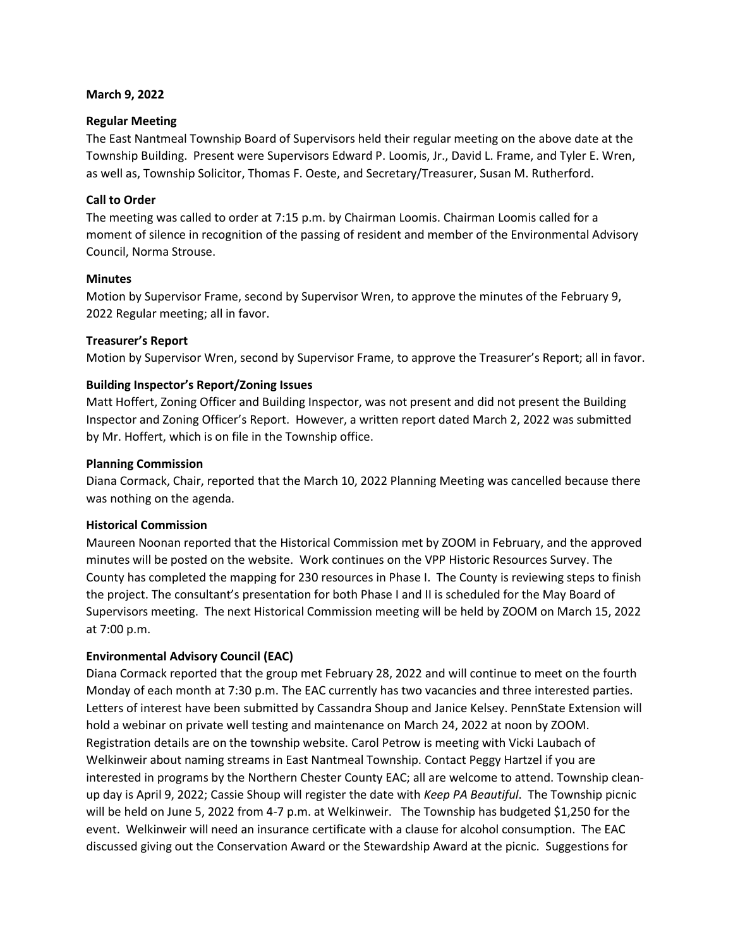#### **March 9, 2022**

## **Regular Meeting**

The East Nantmeal Township Board of Supervisors held their regular meeting on the above date at the Township Building. Present were Supervisors Edward P. Loomis, Jr., David L. Frame, and Tyler E. Wren, as well as, Township Solicitor, Thomas F. Oeste, and Secretary/Treasurer, Susan M. Rutherford.

# **Call to Order**

The meeting was called to order at 7:15 p.m. by Chairman Loomis. Chairman Loomis called for a moment of silence in recognition of the passing of resident and member of the Environmental Advisory Council, Norma Strouse.

## **Minutes**

Motion by Supervisor Frame, second by Supervisor Wren, to approve the minutes of the February 9, 2022 Regular meeting; all in favor.

## **Treasurer's Report**

Motion by Supervisor Wren, second by Supervisor Frame, to approve the Treasurer's Report; all in favor.

# **Building Inspector's Report/Zoning Issues**

Matt Hoffert, Zoning Officer and Building Inspector, was not present and did not present the Building Inspector and Zoning Officer's Report. However, a written report dated March 2, 2022 was submitted by Mr. Hoffert, which is on file in the Township office.

## **Planning Commission**

Diana Cormack, Chair, reported that the March 10, 2022 Planning Meeting was cancelled because there was nothing on the agenda.

# **Historical Commission**

Maureen Noonan reported that the Historical Commission met by ZOOM in February, and the approved minutes will be posted on the website. Work continues on the VPP Historic Resources Survey. The County has completed the mapping for 230 resources in Phase I. The County is reviewing steps to finish the project. The consultant's presentation for both Phase I and II is scheduled for the May Board of Supervisors meeting. The next Historical Commission meeting will be held by ZOOM on March 15, 2022 at 7:00 p.m.

# **Environmental Advisory Council (EAC)**

Diana Cormack reported that the group met February 28, 2022 and will continue to meet on the fourth Monday of each month at 7:30 p.m. The EAC currently has two vacancies and three interested parties. Letters of interest have been submitted by Cassandra Shoup and Janice Kelsey. PennState Extension will hold a webinar on private well testing and maintenance on March 24, 2022 at noon by ZOOM. Registration details are on the township website. Carol Petrow is meeting with Vicki Laubach of Welkinweir about naming streams in East Nantmeal Township. Contact Peggy Hartzel if you are interested in programs by the Northern Chester County EAC; all are welcome to attend. Township cleanup day is April 9, 2022; Cassie Shoup will register the date with *Keep PA Beautiful*. The Township picnic will be held on June 5, 2022 from 4-7 p.m. at Welkinweir. The Township has budgeted \$1,250 for the event. Welkinweir will need an insurance certificate with a clause for alcohol consumption. The EAC discussed giving out the Conservation Award or the Stewardship Award at the picnic. Suggestions for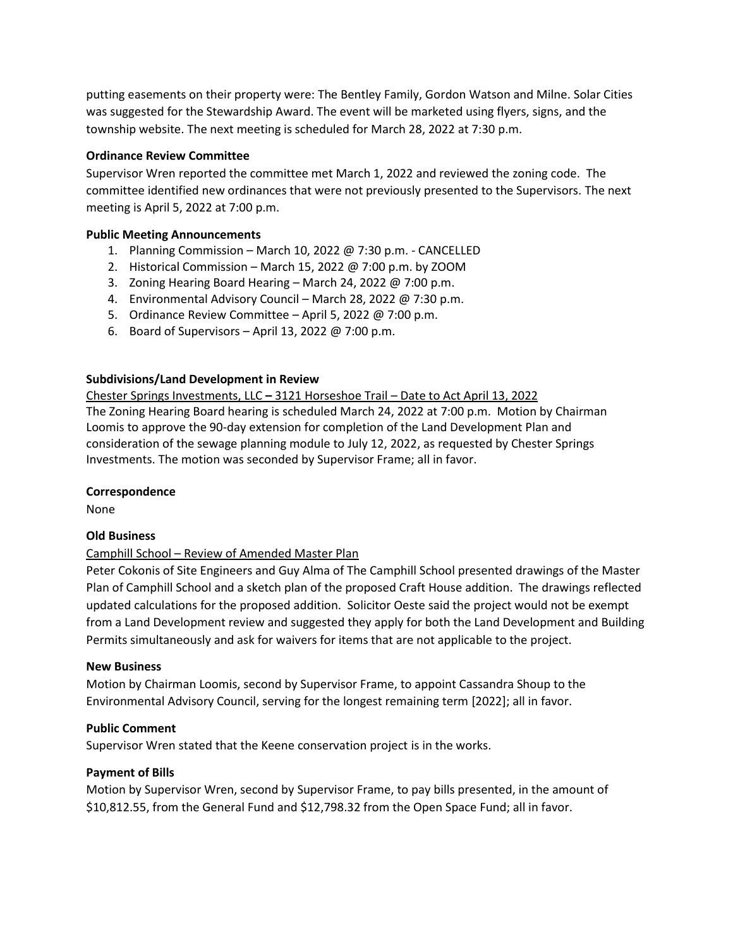putting easements on their property were: The Bentley Family, Gordon Watson and Milne. Solar Cities was suggested for the Stewardship Award. The event will be marketed using flyers, signs, and the township website. The next meeting is scheduled for March 28, 2022 at 7:30 p.m.

# **Ordinance Review Committee**

Supervisor Wren reported the committee met March 1, 2022 and reviewed the zoning code. The committee identified new ordinances that were not previously presented to the Supervisors. The next meeting is April 5, 2022 at 7:00 p.m.

# **Public Meeting Announcements**

- 1. Planning Commission March 10, 2022 @ 7:30 p.m. CANCELLED
- 2. Historical Commission March 15, 2022 @ 7:00 p.m. by ZOOM
- 3. Zoning Hearing Board Hearing March 24, 2022 @ 7:00 p.m.
- 4. Environmental Advisory Council March 28, 2022 @ 7:30 p.m.
- 5. Ordinance Review Committee April 5, 2022 @ 7:00 p.m.
- 6. Board of Supervisors April 13, 2022 @ 7:00 p.m.

# **Subdivisions/Land Development in Review**

Chester Springs Investments, LLC **–** 3121 Horseshoe Trail – Date to Act April 13, 2022 The Zoning Hearing Board hearing is scheduled March 24, 2022 at 7:00 p.m. Motion by Chairman Loomis to approve the 90-day extension for completion of the Land Development Plan and consideration of the sewage planning module to July 12, 2022, as requested by Chester Springs Investments. The motion was seconded by Supervisor Frame; all in favor.

# **Correspondence**

None

# **Old Business**

# Camphill School – Review of Amended Master Plan

Peter Cokonis of Site Engineers and Guy Alma of The Camphill School presented drawings of the Master Plan of Camphill School and a sketch plan of the proposed Craft House addition. The drawings reflected updated calculations for the proposed addition. Solicitor Oeste said the project would not be exempt from a Land Development review and suggested they apply for both the Land Development and Building Permits simultaneously and ask for waivers for items that are not applicable to the project.

# **New Business**

Motion by Chairman Loomis, second by Supervisor Frame, to appoint Cassandra Shoup to the Environmental Advisory Council, serving for the longest remaining term [2022]; all in favor.

# **Public Comment**

Supervisor Wren stated that the Keene conservation project is in the works.

# **Payment of Bills**

Motion by Supervisor Wren, second by Supervisor Frame, to pay bills presented, in the amount of \$10,812.55, from the General Fund and \$12,798.32 from the Open Space Fund; all in favor.